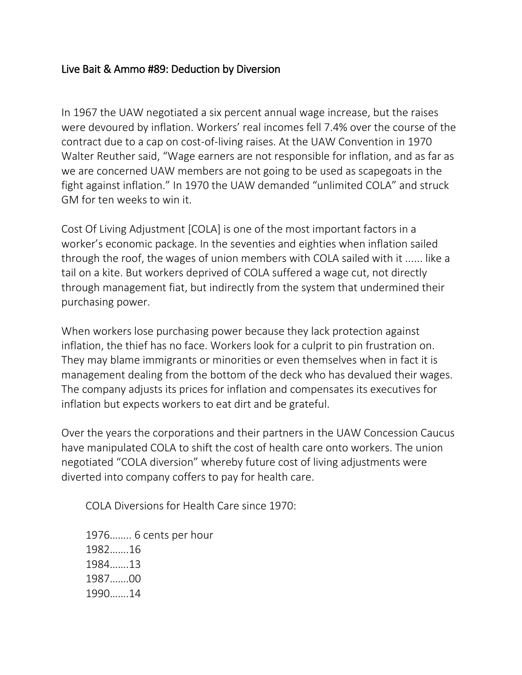## Live Bait & Ammo #89: Deduction by Diversion

In 1967 the UAW negotiated a six percent annual wage increase, but the raises were devoured by inflation. Workers' real incomes fell 7.4% over the course of the contract due to a cap on cost-of-living raises. At the UAW Convention in 1970 Walter Reuther said, "Wage earners are not responsible for inflation, and as far as we are concerned UAW members are not going to be used as scapegoats in the fight against inflation." In 1970 the UAW demanded "unlimited COLA" and struck GM for ten weeks to win it.

Cost Of Living Adjustment [COLA] is one of the most important factors in a worker's economic package. In the seventies and eighties when inflation sailed through the roof, the wages of union members with COLA sailed with it ...... like a tail on a kite. But workers deprived of COLA suffered a wage cut, not directly through management fiat, but indirectly from the system that undermined their purchasing power.

When workers lose purchasing power because they lack protection against inflation, the thief has no face. Workers look for a culprit to pin frustration on. They may blame immigrants or minorities or even themselves when in fact it is management dealing from the bottom of the deck who has devalued their wages. The company adjusts its prices for inflation and compensates its executives for inflation but expects workers to eat dirt and be grateful.

Over the years the corporations and their partners in the UAW Concession Caucus have manipulated COLA to shift the cost of health care onto workers. The union negotiated "COLA diversion" whereby future cost of living adjustments were diverted into company coffers to pay for health care.

COLA Diversions for Health Care since 1970:

 1976…….. 6 cents per hour 1982…….16 1984…….13 1987…….00 1990…….14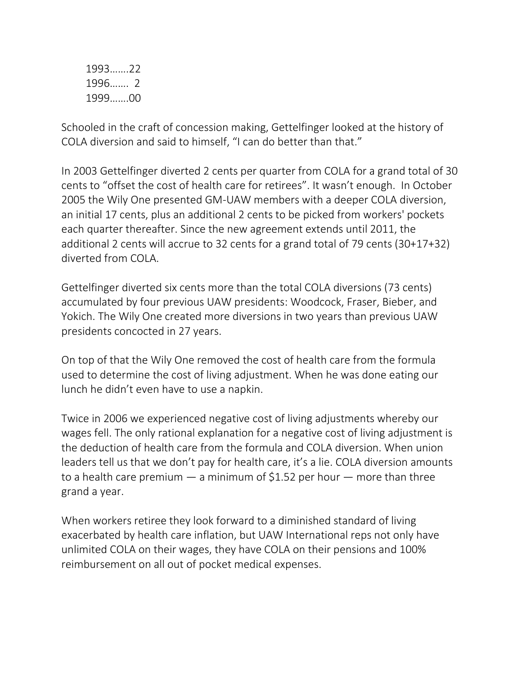1993…….22 1996……. 2 1999…….00

Schooled in the craft of concession making, Gettelfinger looked at the history of COLA diversion and said to himself, "I can do better than that."

In 2003 Gettelfinger diverted 2 cents per quarter from COLA for a grand total of 30 cents to "offset the cost of health care for retirees". It wasn't enough. In October 2005 the Wily One presented GM-UAW members with a deeper COLA diversion, an initial 17 cents, plus an additional 2 cents to be picked from workers' pockets each quarter thereafter. Since the new agreement extends until 2011, the additional 2 cents will accrue to 32 cents for a grand total of 79 cents (30+17+32) diverted from COLA.

Gettelfinger diverted six cents more than the total COLA diversions (73 cents) accumulated by four previous UAW presidents: Woodcock, Fraser, Bieber, and Yokich. The Wily One created more diversions in two years than previous UAW presidents concocted in 27 years.

On top of that the Wily One removed the cost of health care from the formula used to determine the cost of living adjustment. When he was done eating our lunch he didn't even have to use a napkin.

Twice in 2006 we experienced negative cost of living adjustments whereby our wages fell. The only rational explanation for a negative cost of living adjustment is the deduction of health care from the formula and COLA diversion. When union leaders tell us that we don't pay for health care, it's a lie. COLA diversion amounts to a health care premium  $-$  a minimum of \$1.52 per hour  $-$  more than three grand a year.

When workers retiree they look forward to a diminished standard of living exacerbated by health care inflation, but UAW International reps not only have unlimited COLA on their wages, they have COLA on their pensions and 100% reimbursement on all out of pocket medical expenses.